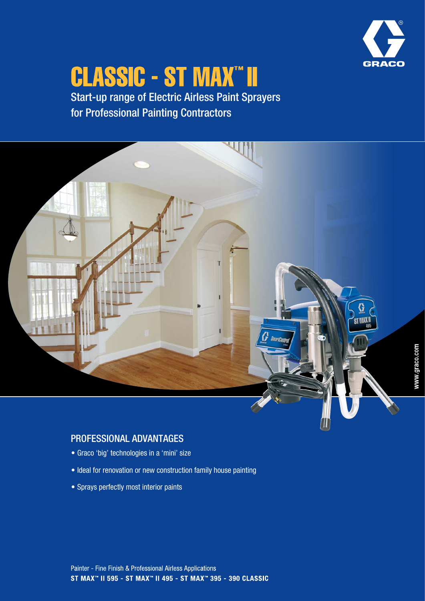

# **CLASSIC - ST MAX" II**

Start-up range of Electric Airless Paint Sprayers for Professional Painting Contractors



# PROFESSIONAL ADVANTAGES

- Graco 'big' technologies in a 'mini' size
- Ideal for renovation or new construction family house painting
- Sprays perfectly most interior paints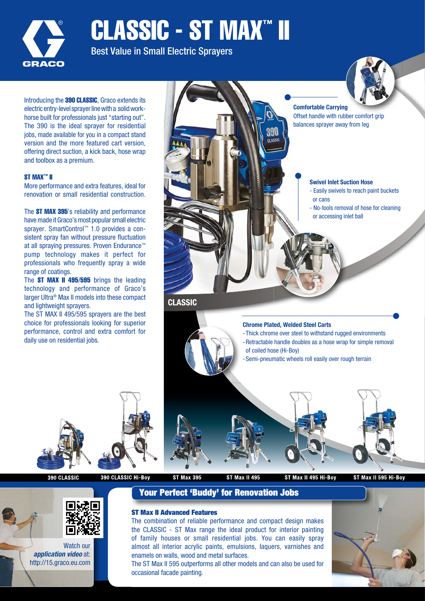

CLASSIC - ST MAX™ II

Best Value in Small Electric Sprayers

Introducing the **390 CLASSIC**. Graco extends its electric entry-level sprayer line with a solid workhorse built for professionals just "starting out". The 390 is the ideal sprayer for residential jobs, made available for you in a compact stand version and the more featured cart version, offering direct suction, a kick back, hose wrap and toolbox as a premium.

### ST MAX™ II

More performance and extra features, ideal for renovation or small residential construction.

The ST MAX 395's reliability and performance have made it Graco's most popular small electric sprayer. SmartControl™ 1.0 provides a consistent spray fan without pressure fluctuation at all spraying pressures. Proven Endurance™ pump technology makes it perfect for professionals who frequently spray a wide range of coatings.

The **ST MAX II 495/595** brings the leading technology and performance of Graco's larger Ultra® Max II models into these compact and lightweight sprayers.

The ST MAX II 495/595 sprayers are the best choice for professionals looking for superior performance, control and extra comfort for daily use on residential jobs.



Comfortable Carrying Offset handle with rubber comfort grip balances sprayer away from leg

#### Swivel Inlet Suction Hose

- Easily swivels to reach paint buckets or cans
- No-tools removal of hose for cleaning or accessing inlet ball

### **CLASSIC**



en **DOM**<sub>19</sub>



390 CLASSIC

390 CLASSIC Hi-Boy

**ST Max 395** 

**ST Max II 495** 

ST Max II 495 Hi-Boy

ST Max II 595 Hi-Boy



Watch our application video at: http://15.graco.eu.com

# Your Perfect 'Buddy' for Renovation Jobs

## ST Max II Advanced Features

The combination of reliable performance and compact design makes the CLASSIC - ST Max range the ideal product for interior painting of family houses or small residential jobs. You can easily spray almost all interior acrylic paints, emulsions, laquers, varnishes and enamels on walls, wood and metal surfaces.

The ST Max II 595 outperforms all other models and can also be used for occasional facade painting.

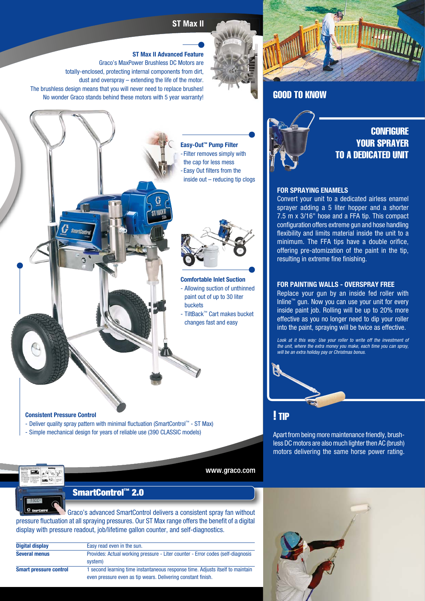# **ST Max II**

### ST Max II Advanced Feature

Graco's MaxPower Brushless DC Motors are totally-enclosed, protecting internal components from dirt, dust and overspray – extending the life of the motor. The brushless design means that you will never need to replace brushes! No wonder Graco stands behind these motors with 5 year warranty!





GOOD TO KNOW

# **CONFIGURE** YOUR SPRAYER TO A DEDICATED UNIT

#### FOR SPRAYING ENAMELS

Convert your unit to a dedicated airless enamel sprayer adding a 5 liter hopper and a shorter 7.5 m x 3/16" hose and a FFA tip. This compact configuration offers extreme gun and hose handling flexibility and limits material inside the unit to a minimum. The FFA tips have a double orifice, offering pre-atomization of the paint in the tip, resulting in extreme fine finishing.

### FOR PAINTING WALLS - OVERSPRAY FREE

Replace your gun by an inside fed roller with Inline™ gun. Now you can use your unit for every inside paint job. Rolling will be up to 20% more effective as you no longer need to dip your roller into the paint, spraying will be twice as effective.

Look at it this way: Use your roller to write off the investment of the unit, where the extra money you make, each time you can spray, will be an extra holiday pay or Christmas bonus.

## ! TIP

Apart from being more maintenance friendly, brushless DC motors are also much lighter then AC (brush) motors delivering the same horse power rating.

inside out – reducing tip clogs

Easy-Out™ Pump Filter - Filter removes simply with the cap for less mess - Fasy Out filters from the



Comfortable Inlet Suction - Allowing suction of unthinned paint out of up to 30 liter buckets

- TiltBack™ Cart makes bucket changes fast and easy

www.graco.com

Consistent Pressure Control

- Deliver quality spray pattern with minimal fluctuation (SmartControl™ ST Max)
- Simple mechanical design for years of reliable use (390 CLASSIC models)

SmartControl™ 2.0

 Graco's advanced SmartControl delivers a consistent spray fan without pressure fluctuation at all spraying pressures. Our ST Max range offers the benefit of a digital display with pressure readout, job/lifetime gallon counter, and self-diagnostics.

| <b>Digital display</b>        | Easy read even in the sun.                                                                                                                     |
|-------------------------------|------------------------------------------------------------------------------------------------------------------------------------------------|
| <b>Several menus</b>          | Provides: Actual working pressure - Liter counter - Error codes (self-diagnosis<br>system)                                                     |
| <b>Smart pressure control</b> | 1 second learning time instantaneous response time. Adjusts itself to maintain<br>even pressure even as tip wears. Delivering constant finish. |